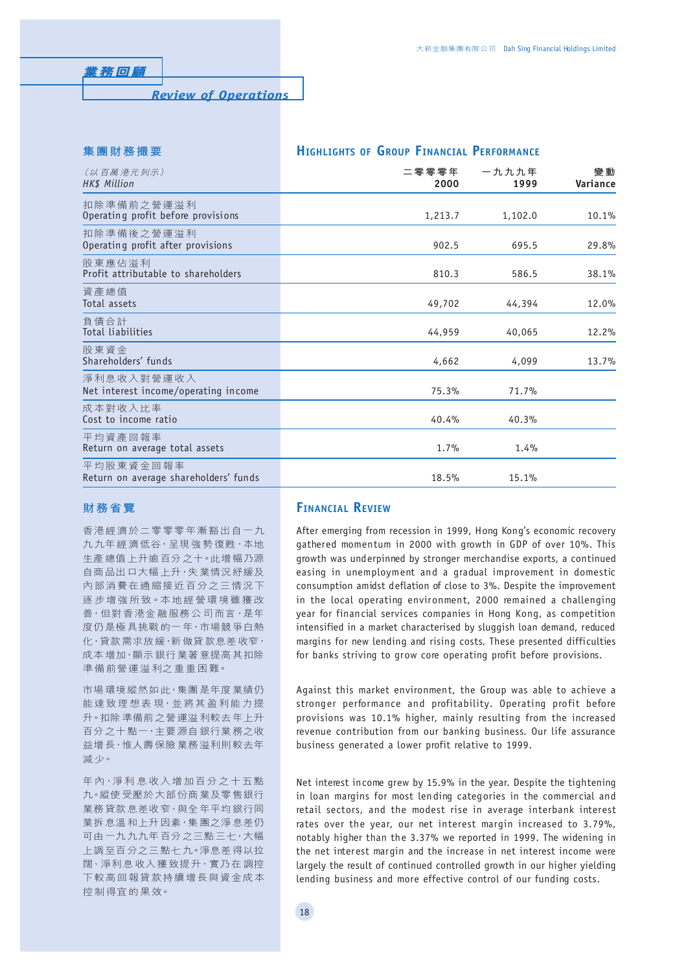**業務回顧**

**集團財務撮要**

#### *Review of Operations*

| (以百萬港元列示)<br><b>HKS Million</b>                    | 二零零零年<br>2000 | 一九九九年<br>1999 | 變動<br>Variance |
|----------------------------------------------------|---------------|---------------|----------------|
| 扣除準備前之營運溢利<br>Operating profit before provisions   | 1,213.7       | 1,102.0       | 10.1%          |
| 扣除準備後之營運溢利<br>Operating profit after provisions    | 902.5         | 695.5         | 29.8%          |
| 股東應佔溢利<br>Profit attributable to shareholders      | 810.3         | 586.5         | 38.1%          |
| 資產總值<br>Total assets                               | 49,702        | 44,394        | 12.0%          |
| 負債合計<br>Total liabilities                          | 44,959        | 40,065        | 12.2%          |
| 股東資金<br>Shareholders' funds                        | 4,662         | 4,099         | 13.7%          |
| 淨利息收入對營運收入<br>Net interest income/operating income | 75.3%         | 71.7%         |                |
| 成本對收入比率<br>Cost to income ratio                    | 40.4%         | 40.3%         |                |
| 平均資產回報率<br>Return on average total assets          | 1.7%          | 1.4%          |                |
| 平均股東資金回報率<br>Return on average shareholders' funds | 18.5%         | 15.1%         |                |

**HIGHLIGHTS OF GROUP FINANCIAL PERFORMANCE**

# **財務省覽**

香港經濟於二零零零年漸豁出自一九 九九年經濟低谷,呈現強勢復甦,本地 生產總值上升逾百分之十。此增幅乃源 自商品出口大幅上升,失業情況紓緩及 內部消費在通縮接近百分之三情況下 逐步增強所致。本地經營環境雖獲改 善,但對香港金融服務公司而言,是年 度仍是極具挑戰的一年,市場競爭白熱 化,貸款需求放緩,新做貸款息差收窄, 成本增加,顯示銀行業著意提高其扣除 準備前營運溢利之重重困難。

市場環境縱然如此,集團是年度業績仍 能達致理想表現,並將其盈利能力提 升。扣除準備前之營運溢利較去年上升 百分之十點一,主要源自銀行業務之收 益增長,惟人壽保險業務溢利則較去年 減少。

年內,淨利 息收入增加百分之十五點 九。縱使受壓於大部份商業及零售銀行 業務貸款息差收窄、與全年平均銀行同 業拆息溫和上升因素,集團之淨息差仍 可由一九九九年百分之三點三七,大幅 上調至百分之三點七九。淨息差得以拉 闊、淨利息收入獲致提升,實乃在調控 下較高回報貸款持續增長與資金成本 控制得宜的果效。

## **FINANCIAL REVIEW**

After emerging from recession in 1999, Hong Kong's economic recovery gathered momentum in 2000 with growth in GDP of over 10%. This growth was underpinned by stronger merchandise exports, a continued easing in unemployment and a gradual improvement in domestic consumption amidst deflation of close to 3%. Despite the improvement in the local operating environment, 2000 remained a challenging year for financial services companies in Hong Kong, as competition intensified in a market characterised by sluggish loan demand, reduced margins for new lending and rising costs. These presented difficulties for banks striving to grow core operating profit before provisions.

Against this market environment, the Group was able to achieve a stronger performance and profitability. Operating profit before provisions was 10.1% higher, mainly resulting from the increased revenue contribution from our banking business. Our life assurance business generated a lower profit relative to 1999.

Net interest income grew by 15.9% in the year. Despite the tightening in loan margins for most lending categories in the commercial and retail sectors, and the modest rise in average interbank interest rates over the year, our net interest margin increased to 3.79%, notably higher than the 3.37% we reported in 1999. The widening in the net interest margin and the increase in net interest income were largely the result of continued controlled growth in our higher yielding lending business and more effective control of our funding costs.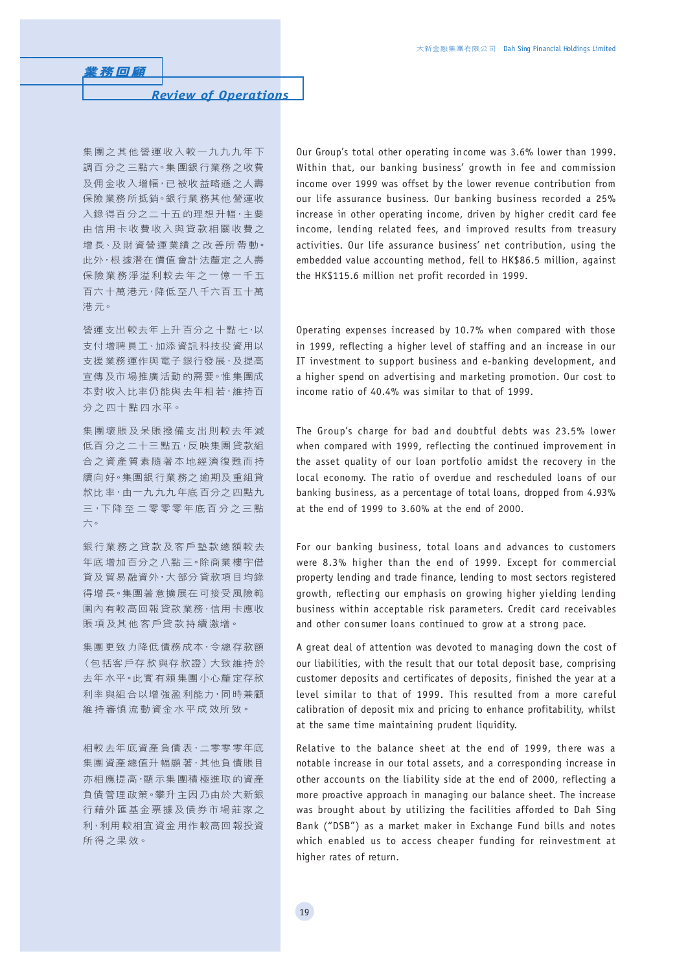集團之其他營運收入較一九九九年下 調百分之三點六。集團銀行業務之收費 及佣金收入增幅,已被收益略遜之人壽 保險業務所抵銷。銀行業務其他營運收 入錄得百分之二十五的理想升幅,主要 由信用卡收費收入與貸款相關收費之 增長、及財資營運業績之改善所帶動。 此外,根據潛在價值會計法釐定之人壽 保險業務淨溢利較去年之一億一千五 百六十萬港元,降低至八千六百五十萬 港元。

營運支出較去年上升百分之十點十,以 支付增聘員工、加添資訊科技投資用以 支援業務運作與電子銀行發展,及提高 宣傳及市場推廣活動的需要。惟集團成 本對收入比率仍能與去年相若,維持百 分之四十點四水平。

集團壞賬及呆賬撥備支出則較去年減 低百分之二十三點五,反映集團貸款組 合之資產質素隨著本地經濟復甦而持 續向好。集團銀行業務之逾期及重組貸 款比率,由一九九九年底百分之四點九 三,下降至 二零零零年底百分之三點 六。

銀行業務之貸款及客戶墊款總額較去 年底增加百分之八點三。除商業樓宇借 貸及貿易融資外,大部分貸款項目均錄 得增長。集團著意擴展在可接受風險範 圍內有較高回報貸款業務,信用卡應收 賬項及其他客戶貸款持續激增。

集團更致力降低債務成本,令總存款額 (包括客戶存款與存款證)大致維持於 去年水平。此實有賴集團小心釐定存款 利率與組合以增強盈利能力,同時兼顧 維持審慎流動資金水平成效所致。

相較去年底資產負債表,二零零零年底 集團資產總值升幅顯著,其他負債賬目 亦相應提高,顯示集團積極進取的資產 負債管理政策。攀升主因乃由於大新銀 行藉外匯基金票據及債券市場莊家之 利,利用較相宜資金用作較高回報投資 所得之果效。

Our Group's total other operating income was 3.6% lower than 1999. Within that, our banking business' growth in fee and commission income over 1999 was offset by the lower revenue contribution from our life assurance business. Our banking business recorded a 25% increase in other operating income, driven by higher credit card fee income, lending related fees, and improved results from treasury activities. Our life assurance business' net contribution, using the embedded value accounting method, fell to HK\$86.5 million, against the HK\$115.6 million net profit recorded in 1999.

Operating expenses increased by 10.7% when compared with those in 1999, reflecting a higher level of staffing and an increase in our IT investment to support business and e-banking development, and a higher spend on advertising and marketing promotion. Our cost to income ratio of 40.4% was similar to that of 1999.

The Group's charge for bad and doubtful debts was 23.5% lower when compared with 1999, reflecting the continued improvement in the asset quality of our loan portfolio amidst the recovery in the local economy. The ratio of overdue and rescheduled loans of our banking business, as a percentage of total loans, dropped from 4.93% at the end of 1999 to 3.60% at the end of 2000.

For our banking business, total loans and advances to customers were 8.3% higher than the end of 1999. Except for commercial property lending and trade finance, lending to most sectors registered growth, reflecting our emphasis on growing higher yielding lending business within acceptable risk parameters. Credit card receivables and other consumer loans continued to grow at a strong pace.

A great deal of attention was devoted to managing down the cost of our liabilities, with the result that our total deposit base, comprising customer deposits and certificates of deposits, finished the year at a level similar to that of 1999. This resulted from a more careful calibration of deposit mix and pricing to enhance profitability, whilst at the same time maintaining prudent liquidity.

Relative to the balance sheet at the end of 1999, there was a notable increase in our total assets, and a corresponding increase in other accounts on the liability side at the end of 2000, reflecting a more proactive approach in managing our balance sheet. The increase was brought about by utilizing the facilities afforded to Dah Sing Bank ("DSB") as a market maker in Exchange Fund bills and notes which enabled us to access cheaper funding for reinvestment at higher rates of return.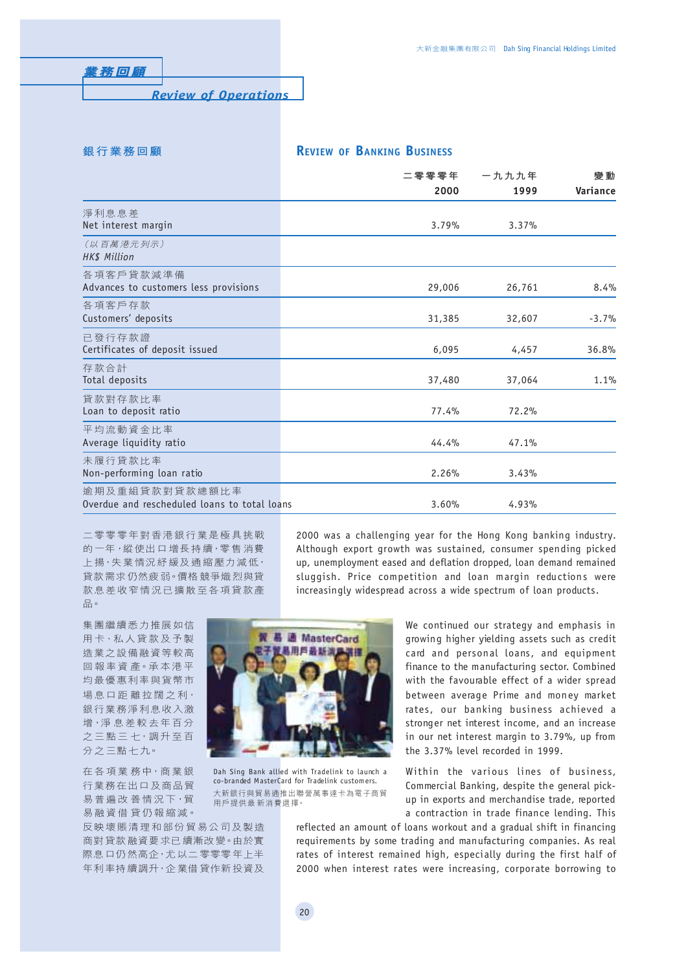### **銀行業務回顧**

# **REVIEW OF BANKING BUSINESS**

|                                                                | 二零零零年  | 一九九九年<br>1999 | 變動<br>Variance |
|----------------------------------------------------------------|--------|---------------|----------------|
|                                                                | 2000   |               |                |
| 淨利息息差<br>Net interest margin                                   | 3.79%  | 3.37%         |                |
| (以百萬港元列示)<br>HK\$ Million                                      |        |               |                |
| 各項客戶貸款減準備<br>Advances to customers less provisions             | 29,006 | 26,761        | 8.4%           |
| 各項客戶存款<br>Customers' deposits                                  | 31,385 | 32,607        | $-3.7%$        |
| 已發行存款證<br>Certificates of deposit issued                       | 6,095  | 4,457         | 36.8%          |
| 存款合計<br>Total deposits                                         | 37,480 | 37,064        | 1.1%           |
| 貸款對存款比率<br>Loan to deposit ratio                               | 77.4%  | 72.2%         |                |
| 平均流動資金比率<br>Average liquidity ratio                            | 44.4%  | 47.1%         |                |
| 未履行貸款比率<br>Non-performing loan ratio                           | 2.26%  | 3.43%         |                |
| 逾期及重組貸款對貸款總額比率<br>Overdue and rescheduled loans to total loans | 3.60%  | 4.93%         |                |

二零零零年對香港銀行業是極具挑戰 的一年,縱使出口增長持續,零售消費 上揚,失業情況紓緩及通縮壓力減低, 貸款需求仍然疲弱。價格競爭熾烈與貸 款息差收窄情況已擴散至各項貸款產 品。

集團繼續悉力推展如信 用卡、私人貸款及予製 造業之設備融資等較高 回報率資 產。承本港平 均最優惠利率與貨幣市 場息口距 離拉闊之利, 銀行業務淨利息收入激 增,淨 息差較去年百分 之三點三 七,調升至百 分之三點七九。

在各項業 務中,商業銀 行業務在出口及商品貿 易普遍改 善情況下,貿 易融資借 貸仍報縮減。

反映壞賬清理和部份貿易公司及製造 商對貸款融資要求已續漸改變。由於實 際息口仍然高企,尤以二零零零年上半 年利率持續調升,企業借貸作新投資及

2000 was a challenging year for the Hong Kong banking industry. Although export growth was sustained, consumer spending picked up, unemployment eased and deflation dropped, loan demand remained sluggish. Price competition and loan margin reductions were increasingly widespread across a wide spectrum of loan products.



Dah Sing Bank allied with Tradelink to launch a co-branded MasterCard for Tradelink customers. 大新銀行與貿易通推出聯營萬事達卡為電子商貿 用戶提供最 新消費選擇。

We continued our strategy and emphasis in growing higher yielding assets such as credit card and personal loans, and equipment finance to the manufacturing sector. Combined with the favourable effect of a wider spread between average Prime and money market rates, our banking business achieved a stronger net interest income, and an increase in our net interest margin to 3.79%, up from the 3.37% level recorded in 1999.

Within the various lines of business, Commercial Banking, despite the general pickup in exports and merchandise trade, reported a contraction in trade finance lending. This

reflected an amount of loans workout and a gradual shift in financing requirements by some trading and manufacturing companies. As real rates of interest remained high, especially during the first half of 2000 when interest rates were increasing, corporate borrowing to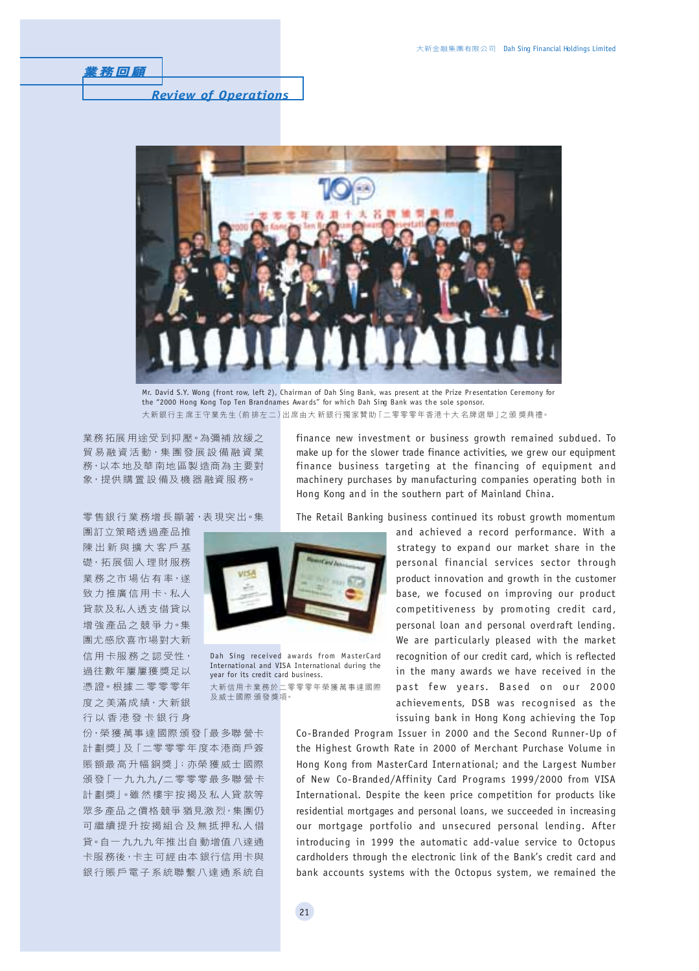

Mr. David S.Y. Wong (front row, left 2), Chairman of Dah Sing Bank, was present at the Prize Presentation Ceremony for the "2000 Hong Kong Top Ten Brandnames Awar ds" for which Dah Sing Bank was the sole sponsor. 大新銀行主 席王守業先生(前 排左二)出席由大 新銀行獨家贊助「二零零零年香港十大 名牌選舉」之頒 獎典禮。

業務拓展用途受到抑壓。為彌補放緩之 貿易融資活動,集團發展設備融資業 務,以本地及華南地區製造商為主要對 象,提供購置設備及機器融資服務。

零售銀行業務增長顯著,表現突出。集

團訂立策略透過產品推 陳出新與擴大客戶基 礎,拓展個人理財服務 業務之市場佔有率,遂 致力推廣信用卡、私人 貸款及私人透支借貸以 增強產品之競爭力。集 團尤感欣喜市場對大新 信用卡服務之認受性, 過往數年屢屢獲獎足以 憑證。根據二零零零年 度之美滿成績,大新銀 行以香港發卡銀行身

份,榮獲萬事達國際頒發「最多聯營卡 計劃獎」及「二零零零年度本港商戶簽 賬額最高升幅銅獎」;亦榮獲威士國際 頒發「一九九九/二零零零最多聯營卡 計劃獎」。雖然樓宇按揭及私人貸款等 眾多產品之價格競爭猶見激烈,集團仍 可繼續提升按揭組合及無抵押私人借 貸。自一九九九年推出自動增值八達通 卡服務後,卡主可經由本銀行信用卡與 銀行賬戶電子系統聯繫八達通系統自

finance new investment or business growth remained subdued. To make up for the slower trade finance activities, we grew our equipment finance business targeting at the financing of equipment and machinery purchases by manufacturing companies operating both in Hong Kong and in the southern part of Mainland China.

The Retail Banking business continued its robust growth momentum



Dah Sing received awards from MasterCard International and VISA International during the year for its credit card business.

大新信用卡業務於二零零零年榮獲萬事達國際 及威士國際 頒發獎項。

and achieved a record performance. With a strategy to expand our market share in the personal financial services sector through product innovation and growth in the customer base, we focused on improving our product competitiveness by promoting credit card, personal loan and personal overdraft lending. We are particularly pleased with the market recognition of our credit card, which is reflected in the many awards we have received in the past few years. Based on our 2000 achievements, DSB was recognised as the issuing bank in Hong Kong achieving the Top

Co-Branded Program Issuer in 2000 and the Second Runner-Up of the Highest Growth Rate in 2000 of Merchant Purchase Volume in Hong Kong from MasterCard International; and the Largest Number of New Co-Branded/Affinity Card Programs 1999/2000 from VISA International. Despite the keen price competition for products like residential mortgages and personal loans, we succeeded in increasing our mortgage portfolio and unsecured personal lending. After introducing in 1999 the automatic add-value service to Octopus cardholders through the electronic link of the Bank's credit card and bank accounts systems with the Octopus system, we remained the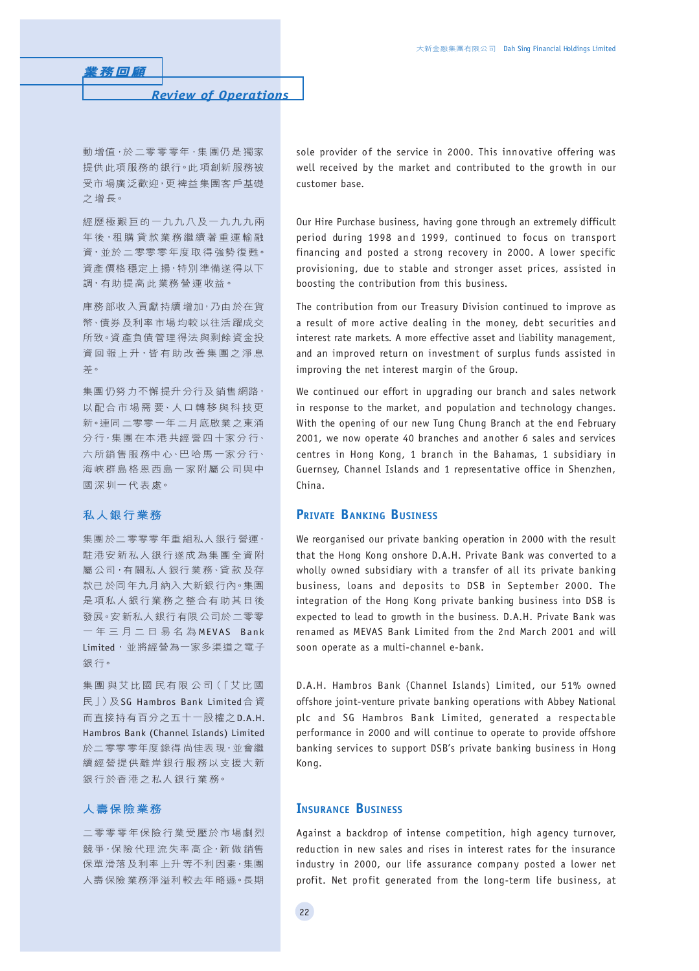動增值,於二零零零年,集團仍是獨家 提供此項服務的銀行。此項創新服務被 受市場廣泛歡迎,更裨益集團客戶基礎 之增長。

經歷極艱巨的一九九八及一九九九兩 年後,租購 貸款業務繼續著重運輸融 資,並於二零零零年度取得強勢復甦。 資產價格穩定上揚,特別準備遂得以下 調,有助提高此業務營運收益。

庫務部收入貢獻持續增加,乃由於在貨 幣、債券及利率市場均較以往活躍成交 所致。資產負債管理得法與剩餘資金投 資回報上升,皆有助改善集團之淨息 差。

集團仍努力不懈 提升分行及 銷售 網路, 以配合市場需 要、人口轉移與科技更 新。連同二零零一年二月底啟業之東涌 分行,集團在本港共經營四十家分行、 六所銷售服務中心、巴哈馬一家分行、 海峽群島格恩西島一家附屬公司與中 國深圳一代表處。

## **私人銀行業務**

集團於二零零零年重組私人銀行營運, 駐港安新私人銀行遂成為集團全資附 屬公司,有關私人銀行業務、貸款及存 款已於同年九月納入大新銀行內。集團 是項私人銀行業務之整合有助其日後 發展。安新私人銀行有限公司於二零零 一年三月二日易名為 MEVAS Bank limited,並將經營為一家多渠道之電子 銀行。

集團 與艾比國 民有限 公司(「艾比國 民」)及SG Hambros Bank Limited合資 而直接持有百分之五十一股權之D.A.H. Hambros Bank (Channel Islands) Limited 於二零零零年度錄得尚佳表現,並會繼 續經營提供離岸銀行服務以支援大新 銀行於香港之私人銀行業務。

## **人壽保險業務**

二零零零年保險行業受壓於市場劇烈 競爭,保險代理流失率高企,新做銷售 保單滑落及利率上升等不利因素,集團 人壽保險業務淨溢利較去年略遜。長期 sole provider of the service in 2000. This innovative offering was well received by the market and contributed to the growth in our customer base.

Our Hire Purchase business, having gone through an extremely difficult period during 1998 and 1999, continued to focus on transport financing and posted a strong recovery in 2000. A lower specific provisioning, due to stable and stronger asset prices, assisted in boosting the contribution from this business.

The contribution from our Treasury Division continued to improve as a result of more active dealing in the money, debt securities and interest rate markets. A more effective asset and liability management, and an improved return on investment of surplus funds assisted in improving the net interest margin of the Group.

We continued our effort in upgrading our branch and sales network in response to the market, and population and technology changes. With the opening of our new Tung Chung Branch at the end February 2001, we now operate 40 branches and another 6 sales and services centres in Hong Kong, 1 branch in the Bahamas, 1 subsidiary in Guernsey, Channel Islands and 1 representative office in Shenzhen, China.

## **PRIVATE BANKING BUSINESS**

We reorganised our private banking operation in 2000 with the result that the Hong Kong onshore D.A.H. Private Bank was converted to a wholly owned subsidiary with a transfer of all its private banking business, loans and deposits to DSB in September 2000. The integration of the Hong Kong private banking business into DSB is expected to lead to growth in the business. D.A.H. Private Bank was renamed as MEVAS Bank Limited from the 2nd March 2001 and will soon operate as a multi-channel e-bank.

D.A.H. Hambros Bank (Channel Islands) Limited, our 51% owned offshore joint-venture private banking operations with Abbey National plc and SG Hambros Bank Limited, generated a respectable performance in 2000 and will continue to operate to provide offshore banking services to support DSB's private banking business in Hong Kong.

# **INSURANCE BUSINESS**

Against a backdrop of intense competition, high agency turnover, reduction in new sales and rises in interest rates for the insurance industry in 2000, our life assurance company posted a lower net profit. Net profit generated from the long-term life business, at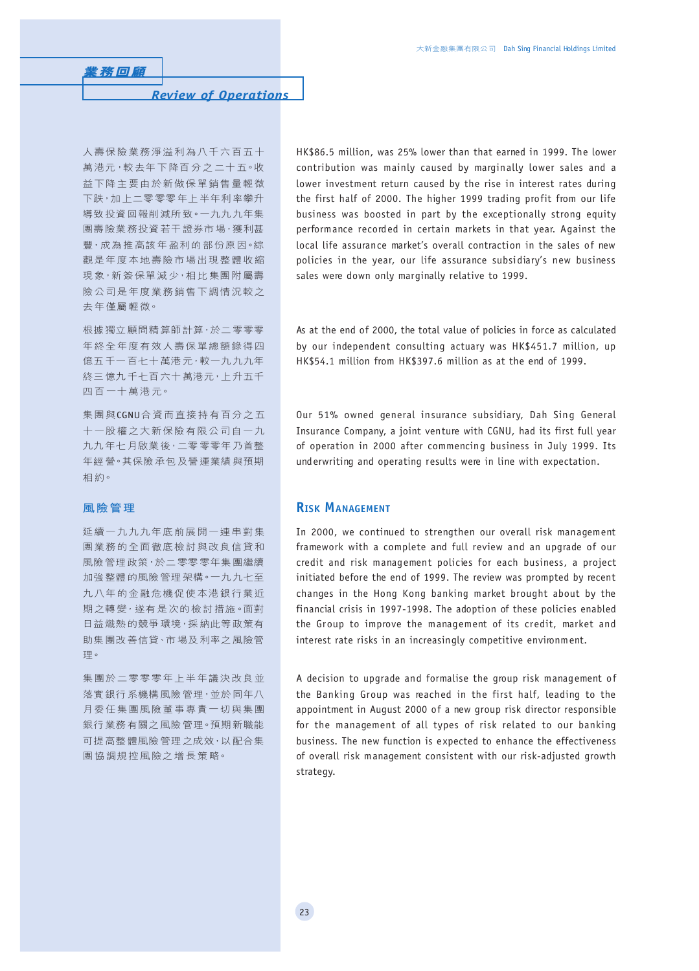人壽保險業務淨溢利為八千六百五十 萬港元,較去年下降百分之二十五。收 益下降主要由於新做保單銷售量輕微 下跌,加上二零零零年上半年利率攀升 導致投資回報削減所致。一九九九年集 團壽險業務投資若干證券市場,獲利甚 豐,成為推高該年盈利的部份原因。綜 觀是年度本地壽險市場出現整體收縮 現象,新簽保單減少,相比集團附屬壽 險公司是年度業務銷售下調情況較之 去年僅屬輕微。

根據獨立顧問精算師計算,於二零零零 年終全年度有效人壽保單總額錄得四 億五千一百七十萬港元,較一九九九年 終三億九千七百六十萬港元,上升五千 四百一十萬港元。

集團與CGNU合資而直接持有百分之五 十一股權之大新保險有限公司自一九 九九年七月啟業後,二零零零年乃首整 年經營。其保險承包及營運業績與預期 相約。

#### **風險管理**

延續一九九九年底前展開一連串對集 團業務的全面徹底檢討與改良信貸和 風險管理政策,於二零零零年集團繼續 加強整體的風險管理架構。一九九七至 九八年的金融危機促使本港銀行業近 期之轉變,遂有是次的檢討措施。面對 日益熾熱的競爭環境,採納此等政策有 助集團改善信貸、市場及利率之風險管 理。

集團於二零零零年上半年議決改良並 落實銀行系機構風險管理,並於同年八 月委任集團風險董事專責一切與集團 銀行業務有關之風險管理。預期新職能 可提高整體風險管理之成效,以配合集 團協調規控風險之增長策略。

HK\$86.5 million, was 25% lower than that earned in 1999. The lower contribution was mainly caused by marginally lower sales and a lower investment return caused by the rise in interest rates during the first half of 2000. The higher 1999 trading profit from our life business was boosted in part by the exceptionally strong equity performance recorded in certain markets in that year. Against the local life assurance market's overall contraction in the sales of new policies in the year, our life assurance subsidiary's new business sales were down only marginally relative to 1999.

As at the end of 2000, the total value of policies in force as calculated by our independent consulting actuary was HK\$451.7 million, up HK\$54.1 million from HK\$397.6 million as at the end of 1999.

Our 51% owned general insurance subsidiary, Dah Sing General Insurance Company, a joint venture with CGNU, had its first full year of operation in 2000 after commencing business in July 1999. Its underwriting and operating results were in line with expectation.

## **RISK MANAGEMENT**

In 2000, we continued to strengthen our overall risk management framework with a complete and full review and an upgrade of our credit and risk management policies for each business, a project initiated before the end of 1999. The review was prompted by recent changes in the Hong Kong banking market brought about by the financial crisis in 1997-1998. The adoption of these policies enabled the Group to improve the management of its credit, market and interest rate risks in an increasingly competitive environment.

A decision to upgrade and formalise the group risk management of the Banking Group was reached in the first half, leading to the appointment in August 2000 of a new group risk director responsible for the management of all types of risk related to our banking business. The new function is expected to enhance the effectiveness of overall risk management consistent with our risk-adjusted growth strategy.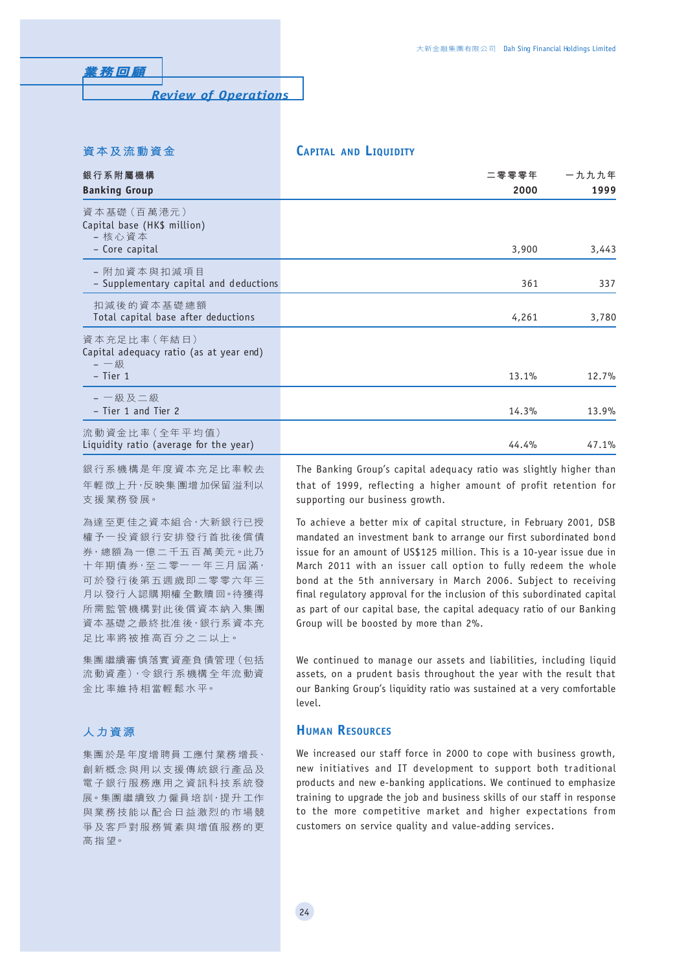**資本及流動資金**

| 銀行系附屬機構                                                                                 | 二零零零年 | 一九九九年 |
|-----------------------------------------------------------------------------------------|-------|-------|
| <b>Banking Group</b>                                                                    | 2000  | 1999  |
| 資本基礎 (百萬港元)<br>Capital base (HK\$ million)<br>- 核心資本<br>- Core capital                  | 3,900 | 3,443 |
| - 附加資本與扣減項目<br>- Supplementary capital and deductions                                   | 361   | 337   |
| 扣減後的資本基礎總額<br>Total capital base after deductions                                       | 4,261 | 3,780 |
| 資本充足比率 (年結日)<br>Capital adequacy ratio (as at year end)<br>— $-\frac{1}{2}$<br>- Tier 1 | 13.1% | 12.7% |
| - 一級及二級<br>- Tier 1 and Tier 2                                                          | 14.3% | 13.9% |
| 流動資金比率 (全年平均值)<br>Liquidity ratio (average for the year)                                | 44.4% | 47.1% |

**CAPITAL AND LIQUIDITY**

銀行系機構是年度資本充足比率較去 年輕微上升,反映集團增加保留溢利以 支援業務發展。

為達至更佳之資本組合,大新銀行已授 權予一投資銀行安排發行首批後償債 券,總額為一億二千五百萬美元。此乃 十年期債券,至二零一一年三月屆滿, 可於發行後第五週歲即二零零六年三 月以發行人認購期權全數贖回。待獲得 所需監管機構對此後償資本納入集團 資本基礎之最終批准後,銀行系資本充 足比率將被推高百分之二以上。

集團繼續審慎落實資產負債管理(包括 流動資產),令銀行系機構全年流動資 金比率維持相當輕鬆水平。

# **人力資源**

集團於是年度增聘員工應付業務增長、 創新概念與用以支援傳統銀行產品及 電子銀行服務應用之資訊科技系統發 展。集團繼續致力僱員培訓,提升工作 與業務技能以配合日益激烈的市場競 爭及客戶對服務質素與增值服務的更 高指望。

The Banking Group's capital adequacy ratio was slightly higher than that of 1999, reflecting a higher amount of profit retention for supporting our business growth.

To achieve a better mix of capital structure, in February 2001, DSB mandated an investment bank to arrange our first subordinated bond issue for an amount of US\$125 million. This is a 10-year issue due in March 2011 with an issuer call option to fully redeem the whole bond at the 5th anniversary in March 2006. Subject to receiving final regulatory approval for the inclusion of this subordinated capital as part of our capital base, the capital adequacy ratio of our Banking Group will be boosted by more than 2%.

We continued to manage our assets and liabilities, including liquid assets, on a prudent basis throughout the year with the result that our Banking Group's liquidity ratio was sustained at a very comfortable level.

# **HUMAN RESOURCES**

We increased our staff force in 2000 to cope with business growth, new initiatives and IT development to support both traditional products and new e-banking applications. We continued to emphasize training to upgrade the job and business skills of our staff in response to the more competitive market and higher expectations from customers on service quality and value-adding services.